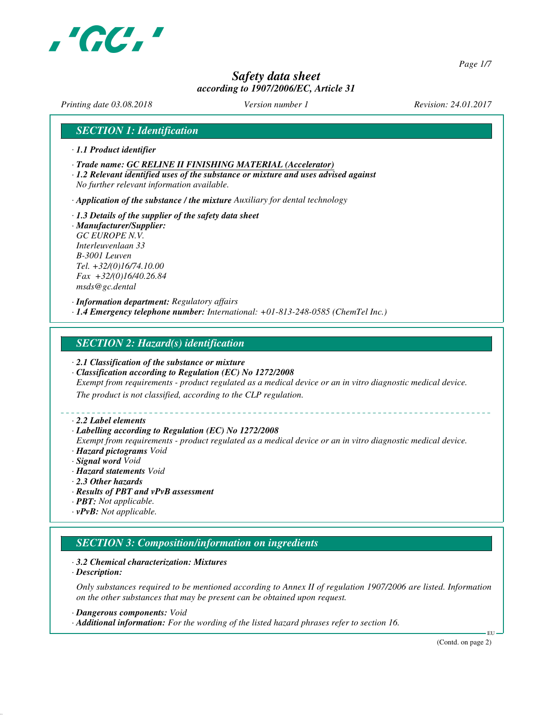

*Page 1/7*

# *Safety data sheet according to 1907/2006/EC, Article 31*

*Printing date 03.08.2018 Version number 1 Revision: 24.01.2017*

#### *SECTION 1: Identification*

- *· 1.1 Product identifier*
- *· Trade name: GC RELINE II FINISHING MATERIAL (Accelerator)*
- *· 1.2 Relevant identified uses of the substance or mixture and uses advised against No further relevant information available.*

*· Application of the substance / the mixture Auxiliary for dental technology*

*· 1.3 Details of the supplier of the safety data sheet · Manufacturer/Supplier: GC EUROPE N.V. Interleuvenlaan 33 B-3001 Leuven Tel. +32/(0)16/74.10.00 Fax +32/(0)16/40.26.84 msds@gc.dental*

*· Information department: Regulatory affairs · 1.4 Emergency telephone number: International: +01-813-248-0585 (ChemTel Inc.)*

#### *SECTION 2: Hazard(s) identification*

- *· 2.1 Classification of the substance or mixture*
- *· Classification according to Regulation (EC) No 1272/2008*

*Exempt from requirements - product regulated as a medical device or an in vitro diagnostic medical device.*

*The product is not classified, according to the CLP regulation.*

#### *· 2.2 Label elements*

#### *· Labelling according to Regulation (EC) No 1272/2008*

*Exempt from requirements - product regulated as a medical device or an in vitro diagnostic medical device. · Hazard pictograms Void*

- *· Signal word Void*
- *· Hazard statements Void*
- *· 2.3 Other hazards*
- *· Results of PBT and vPvB assessment*
- *· PBT: Not applicable.*
- *· vPvB: Not applicable.*

# *SECTION 3: Composition/information on ingredients*

#### *· 3.2 Chemical characterization: Mixtures*

*· Description:*

*Only substances required to be mentioned according to Annex II of regulation 1907/2006 are listed. Information on the other substances that may be present can be obtained upon request.*

*· Dangerous components: Void*

*· Additional information: For the wording of the listed hazard phrases refer to section 16.*

(Contd. on page 2)

EU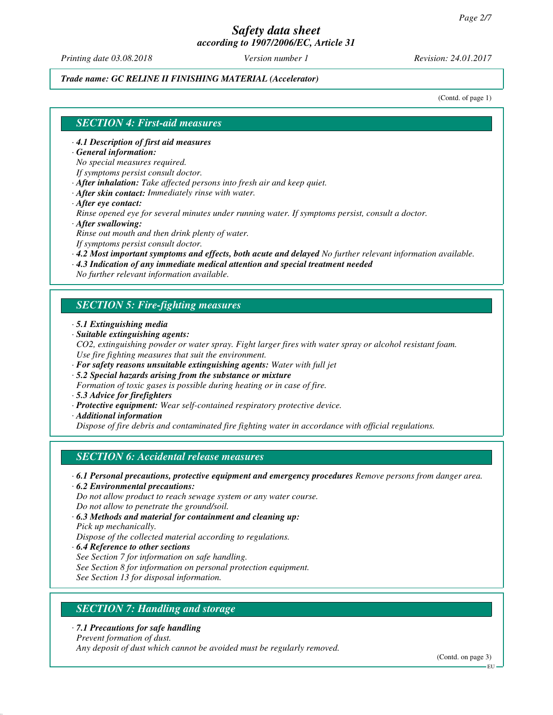*Printing date 03.08.2018 Version number 1 Revision: 24.01.2017*

#### *Trade name: GC RELINE II FINISHING MATERIAL (Accelerator)*

(Contd. of page 1)

#### *SECTION 4: First-aid measures*

*· 4.1 Description of first aid measures*

*· General information:*

*No special measures required.*

*If symptoms persist consult doctor.*

*· After inhalation: Take affected persons into fresh air and keep quiet.*

- *· After skin contact: Immediately rinse with water.*
- *· After eye contact:*

*Rinse opened eye for several minutes under running water. If symptoms persist, consult a doctor. · After swallowing:*

*Rinse out mouth and then drink plenty of water.*

*If symptoms persist consult doctor.*

- *· 4.2 Most important symptoms and effects, both acute and delayed No further relevant information available.*
- *· 4.3 Indication of any immediate medical attention and special treatment needed*

*No further relevant information available.*

#### *SECTION 5: Fire-fighting measures*

- *· 5.1 Extinguishing media*
- *· Suitable extinguishing agents:*
- *CO2, extinguishing powder or water spray. Fight larger fires with water spray or alcohol resistant foam. Use fire fighting measures that suit the environment.*
- *· For safety reasons unsuitable extinguishing agents: Water with full jet*
- *· 5.2 Special hazards arising from the substance or mixture*
- *Formation of toxic gases is possible during heating or in case of fire.*
- *· 5.3 Advice for firefighters*
- *· Protective equipment: Wear self-contained respiratory protective device.*
- *· Additional information*

*Dispose of fire debris and contaminated fire fighting water in accordance with official regulations.*

#### *SECTION 6: Accidental release measures*

- *· 6.1 Personal precautions, protective equipment and emergency procedures Remove persons from danger area.*
- *· 6.2 Environmental precautions:*

*Do not allow product to reach sewage system or any water course. Do not allow to penetrate the ground/soil.*

- *· 6.3 Methods and material for containment and cleaning up: Pick up mechanically. Dispose of the collected material according to regulations.*
- *· 6.4 Reference to other sections*
- *See Section 7 for information on safe handling.*
- *See Section 8 for information on personal protection equipment.*
- *See Section 13 for disposal information.*

# *SECTION 7: Handling and storage*

*· 7.1 Precautions for safe handling*

*Prevent formation of dust.*

*Any deposit of dust which cannot be avoided must be regularly removed.*

(Contd. on page 3)

EU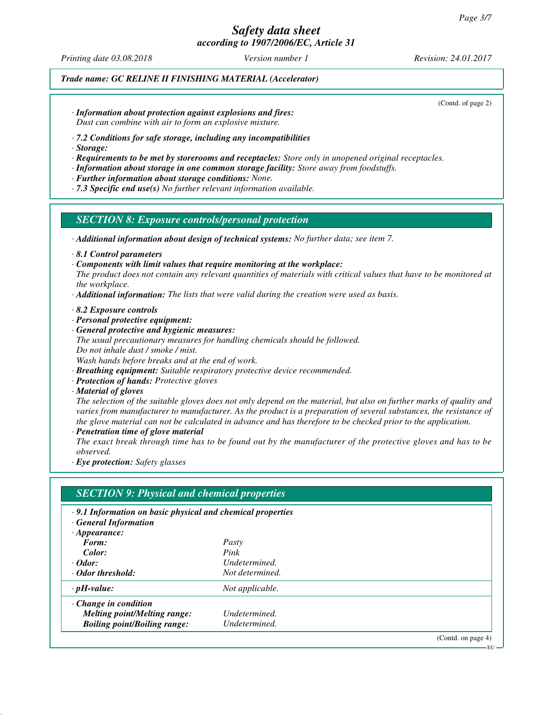*Printing date 03.08.2018 Version number 1 Revision: 24.01.2017*

#### *Trade name: GC RELINE II FINISHING MATERIAL (Accelerator)*

(Contd. of page 2)

- *· Information about protection against explosions and fires: Dust can combine with air to form an explosive mixture.*
- *· 7.2 Conditions for safe storage, including any incompatibilities*
- *· Storage:*
- *· Requirements to be met by storerooms and receptacles: Store only in unopened original receptacles.*
- *· Information about storage in one common storage facility: Store away from foodstuffs.*
- *· Further information about storage conditions: None.*
- *· 7.3 Specific end use(s) No further relevant information available.*

#### *SECTION 8: Exposure controls/personal protection*

- *· Additional information about design of technical systems: No further data; see item 7.*
- *· 8.1 Control parameters*
- *· Components with limit values that require monitoring at the workplace:*
- *The product does not contain any relevant quantities of materials with critical values that have to be monitored at the workplace.*
- *· Additional information: The lists that were valid during the creation were used as basis.*
- *· 8.2 Exposure controls*
- *· Personal protective equipment:*
- *· General protective and hygienic measures: The usual precautionary measures for handling chemicals should be followed. Do not inhale dust / smoke / mist. Wash hands before breaks and at the end of work.*
- *· Breathing equipment: Suitable respiratory protective device recommended.*
- *· Protection of hands: Protective gloves*
- *· Material of gloves*

*The selection of the suitable gloves does not only depend on the material, but also on further marks of quality and varies from manufacturer to manufacturer. As the product is a preparation of several substances, the resistance of the glove material can not be calculated in advance and has therefore to be checked prior to the application. · Penetration time of glove material*

*The exact break through time has to be found out by the manufacturer of the protective gloves and has to be observed.*

*· Eye protection: Safety glasses*

# *SECTION 9: Physical and chemical properties*

- *· 9.1 Information on basic physical and chemical properties*
- *· General Information*

| $\cdot$ Appearance:                 |                 |
|-------------------------------------|-----------------|
| Form:                               | Pasty           |
| Color:                              | Pink            |
| $\cdot$ Odor:                       | Undetermined.   |
| Odor threshold:                     | Not determined. |
| $\cdot$ pH-value:                   | Not applicable. |
| $\cdot$ Change in condition         |                 |
| <b>Melting point/Melting range:</b> | Undetermined.   |
| <b>Boiling point/Boiling range:</b> | Undetermined.   |
|                                     | $\sim$          |

(Contd. on page 4)

**EU**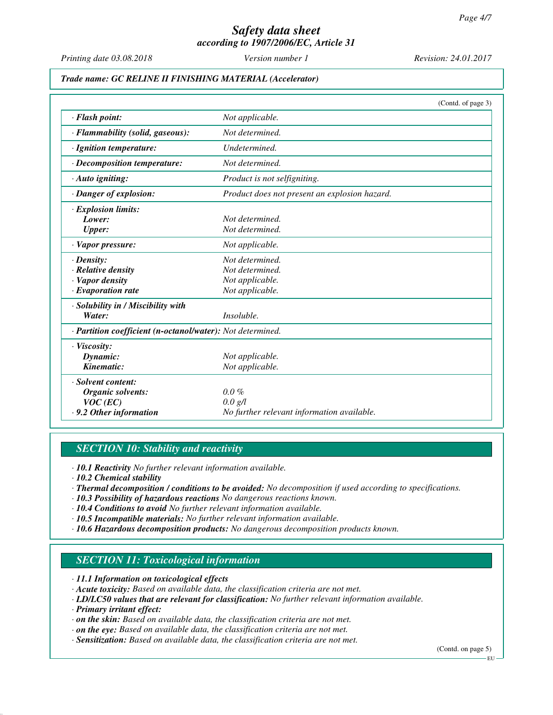*Printing date 03.08.2018 Version number 1 Revision: 24.01.2017*

#### *Trade name: GC RELINE II FINISHING MATERIAL (Accelerator)*

|                                                            | (Contd. of page 3)                            |
|------------------------------------------------------------|-----------------------------------------------|
| · Flash point:                                             | Not applicable.                               |
| · Flammability (solid, gaseous):                           | Not determined.                               |
| · Ignition temperature:                                    | Undetermined.                                 |
| · Decomposition temperature:                               | Not determined.                               |
| · Auto igniting:                                           | Product is not selfigniting.                  |
| · Danger of explosion:                                     | Product does not present an explosion hazard. |
| $\cdot$ Explosion limits:                                  |                                               |
| Lower:                                                     | Not determined.                               |
| <b>Upper:</b>                                              | Not determined.                               |
| · Vapor pressure:                                          | Not applicable.                               |
| $\cdot$ Density:                                           | Not determined.                               |
| $\cdot$ Relative density                                   | Not determined.                               |
| · Vapor density                                            | Not applicable.                               |
| $\cdot$ Evaporation rate                                   | Not applicable.                               |
| · Solubility in / Miscibility with                         |                                               |
| Water:                                                     | Insoluble.                                    |
| · Partition coefficient (n-octanol/water): Not determined. |                                               |
| · Viscosity:                                               |                                               |
| Dynamic:                                                   | Not applicable.                               |
| Kinematic:                                                 | Not applicable.                               |
| · Solvent content:                                         |                                               |
| Organic solvents:                                          | $0.0\%$                                       |
| $VOC$ (EC)                                                 | 0.0 g/l                                       |
| .9.2 Other information                                     | No further relevant information available.    |

#### *SECTION 10: Stability and reactivity*

*· 10.1 Reactivity No further relevant information available.*

*· 10.2 Chemical stability*

- *· Thermal decomposition / conditions to be avoided: No decomposition if used according to specifications.*
- *· 10.3 Possibility of hazardous reactions No dangerous reactions known.*
- *· 10.4 Conditions to avoid No further relevant information available.*
- *· 10.5 Incompatible materials: No further relevant information available.*
- *· 10.6 Hazardous decomposition products: No dangerous decomposition products known.*

# *SECTION 11: Toxicological information*

*· 11.1 Information on toxicological effects*

- *· Acute toxicity: Based on available data, the classification criteria are not met.*
- *· LD/LC50 values that are relevant for classification: No further relevant information available.*
- *· Primary irritant effect:*
- *· on the skin: Based on available data, the classification criteria are not met.*
- *· on the eye: Based on available data, the classification criteria are not met.*
- *· Sensitization: Based on available data, the classification criteria are not met.*

(Contd. on page 5)

EU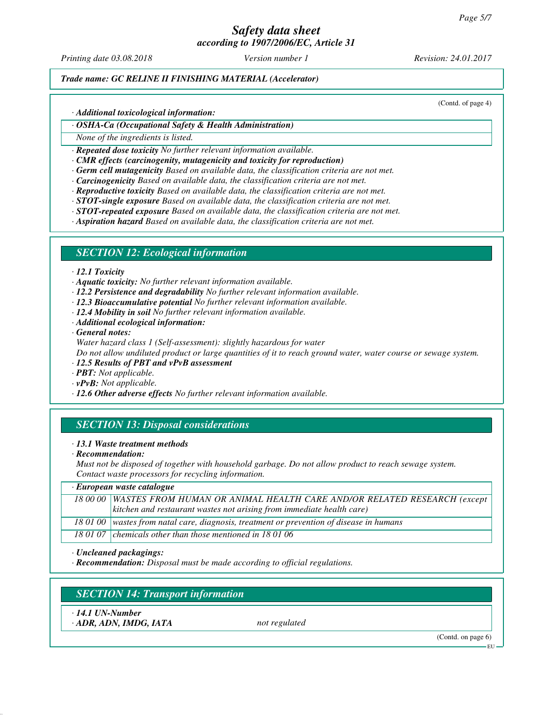# *Safety data sheet*

*according to 1907/2006/EC, Article 31*

*Printing date 03.08.2018 Version number 1 Revision: 24.01.2017*

#### *Trade name: GC RELINE II FINISHING MATERIAL (Accelerator)*

(Contd. of page 4)

*· Additional toxicological information:*

#### *· OSHA-Ca (Occupational Safety & Health Administration)*

*None of the ingredients is listed.*

*· Repeated dose toxicity No further relevant information available.*

- *· CMR effects (carcinogenity, mutagenicity and toxicity for reproduction)*
- *· Germ cell mutagenicity Based on available data, the classification criteria are not met.*
- *· Carcinogenicity Based on available data, the classification criteria are not met.*
- *· Reproductive toxicity Based on available data, the classification criteria are not met.*
- *· STOT-single exposure Based on available data, the classification criteria are not met.*
- *· STOT-repeated exposure Based on available data, the classification criteria are not met.*

*· Aspiration hazard Based on available data, the classification criteria are not met.*

#### *SECTION 12: Ecological information*

- *· 12.1 Toxicity*
- *· Aquatic toxicity: No further relevant information available.*
- *· 12.2 Persistence and degradability No further relevant information available.*
- *· 12.3 Bioaccumulative potential No further relevant information available.*
- *· 12.4 Mobility in soil No further relevant information available.*
- *· Additional ecological information:*
- *· General notes:*

*Water hazard class 1 (Self-assessment): slightly hazardous for water*

*Do not allow undiluted product or large quantities of it to reach ground water, water course or sewage system.*

- *· 12.5 Results of PBT and vPvB assessment*
- *· PBT: Not applicable.*
- *· vPvB: Not applicable.*
- *· 12.6 Other adverse effects No further relevant information available.*

# *SECTION 13: Disposal considerations*

- *· 13.1 Waste treatment methods*
- *· Recommendation:*

*Must not be disposed of together with household garbage. Do not allow product to reach sewage system. Contact waste processors for recycling information.*

| · European waste catalogue |                                                                                            |  |
|----------------------------|--------------------------------------------------------------------------------------------|--|
|                            | 18 00 00 WASTES FROM HUMAN OR ANIMAL HEALTH CARE AND/OR RELATED RESEARCH (except           |  |
|                            | $\vert$ kitchen and restaurant wastes not arising from immediate health care)              |  |
|                            | 18 01 00   wastes from natal care, diagnosis, treatment or prevention of disease in humans |  |
|                            | 18 01 07 chemicals other than those mentioned in 18 01 06                                  |  |

*· Uncleaned packagings:*

*· Recommendation: Disposal must be made according to official regulations.*

# *SECTION 14: Transport information*

*· 14.1 UN-Number*

*· ADR, ADN, IMDG, IATA not regulated*

(Contd. on page 6)

EU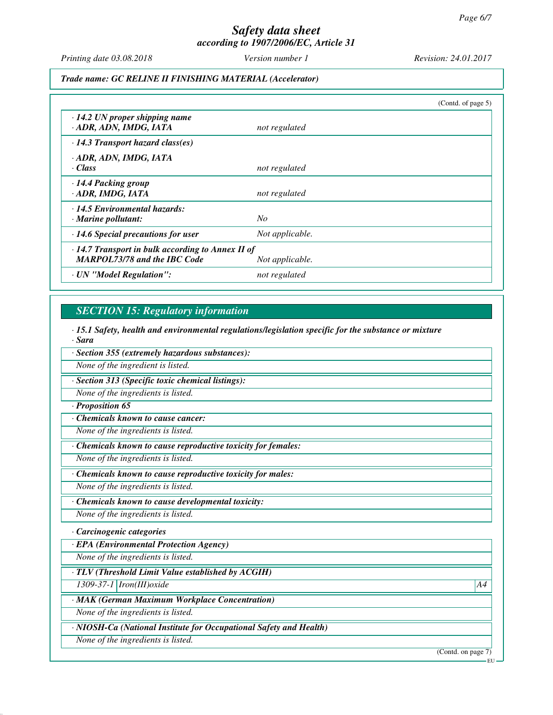*Printing date 03.08.2018 Version number 1 Revision: 24.01.2017*

#### *Trade name: GC RELINE II FINISHING MATERIAL (Accelerator)*

|                                                                                                |                 | (Contd. of page 5) |
|------------------------------------------------------------------------------------------------|-----------------|--------------------|
| $\cdot$ 14.2 UN proper shipping name<br>· ADR, ADN, IMDG, IATA                                 | not regulated   |                    |
| $\cdot$ 14.3 Transport hazard class(es)                                                        |                 |                    |
| · ADR, ADN, IMDG, IATA<br>· Class                                                              | not regulated   |                    |
| · 14.4 Packing group<br>· ADR, IMDG, IATA                                                      | not regulated   |                    |
| · 14.5 Environmental hazards:<br>· Marine pollutant:                                           | No              |                    |
| $\cdot$ 14.6 Special precautions for user                                                      | Not applicable. |                    |
| $\cdot$ 14.7 Transport in bulk according to Annex II of<br><b>MARPOL73/78 and the IBC Code</b> | Not applicable. |                    |
| · UN "Model Regulation":                                                                       | not regulated   |                    |

# *SECTION 15: Regulatory information*

*· 15.1 Safety, health and environmental regulations/legislation specific for the substance or mixture · Sara*

*· Section 355 (extremely hazardous substances):*

*None of the ingredient is listed.*

*· Section 313 (Specific toxic chemical listings):*

*None of the ingredients is listed.*

#### *· Proposition 65*

*· Chemicals known to cause cancer:*

*None of the ingredients is listed.*

*· Chemicals known to cause reproductive toxicity for females:*

*None of the ingredients is listed.*

*· Chemicals known to cause reproductive toxicity for males:*

*None of the ingredients is listed.*

*· Chemicals known to cause developmental toxicity:*

*None of the ingredients is listed.*

#### *· Carcinogenic categories*

*· EPA (Environmental Protection Agency)*

*None of the ingredients is listed.*

*· TLV (Threshold Limit Value established by ACGIH)*

*1309-37-1 Iron(III)oxide A4*

*· MAK (German Maximum Workplace Concentration)*

*None of the ingredients is listed.*

*· NIOSH-Ca (National Institute for Occupational Safety and Health)*

*None of the ingredients is listed.*

(Contd. on page 7)

EU